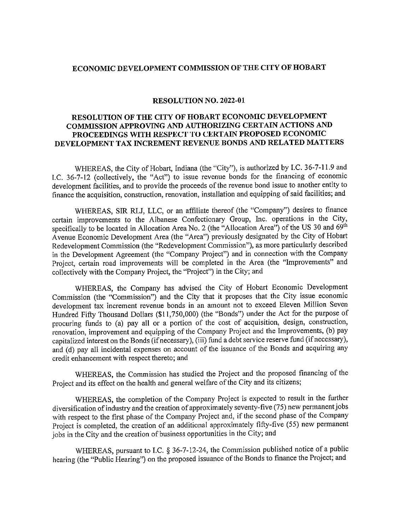## ECONOMIC DEVELOPMENT COMMISSION OF THE CITY OF HOBART

## RESOLUTION NO. 2022-01

## RESOLUTION OF THE CITY OF HOBART ECONOMIC DEVELOPMENT COMMISSION APPROVING AND AUTHORIZING CERTAIN ACTIONS AND PROCEEDINGS WITH RESPECT TO CERTAIN PROPOSED ECONOMIC DEVELOPMENT TAX INCREMENT REVENUE BONDS AND RELATED MATTERS

WHEREAS, the City of Hobart, Indiana (the "City"), is authorized by I.C. 36-7-11.9 and I.C. 36-7-12 (collectively, the "Act") to issue revenue bonds for the financing of economic development facilities, and to provide the proceeds of the revenue bond issue to another entity to finance the acquisition, construction, renovation, installation and equipping of said facilities; and

WHEREAS, SIR RLJ, LLC, or an affiliate thereof (the "Company") desires to finance certain improvements to the Albanese Confectionary Group, Inc. operations in the City, specifically to be located in Allocation Area No. 2 (the "Allocation Area") of the US 30 and 69th Avenue Economic Development Area (the "Area") previously designated by the City of Hobart Redevelopment Commission (the "Redevelopment Commission"), as more particularly described in the Development Agreement (the "Company Project") and in connection with the Company Project, certain road improvements will be completed in the Area (the "Improvements" and collectively with the Company Project, the "Project") in the City; and

WHEREAS, the Company has advised the City of Hobart Economic Development Commission (the "Commission") and the City that it proposes that the City issue economic development tax increment revenue bonds in an amount not to exceed Eleven Million Seven Hundred Fifty Thousand Dollars (\$11,750,000) (the "Bonds") under the Act for the purpose of procuring funds to (a) pay all or a portion of the cost of acquisition, design, construction, renovation, improvement and equipping of the Company Project and the Improvements, (b) pay capitalized interest on the Bonds (if necessary), (iii) fund a debt service reserve fund (if necessary), and (d) pay all incidental expenses on account of the issuance of the Bonds and acquiring any credit enhancement with respect thereto; and

WHEREAS, the Commission has studied the Project and the proposed financing of the Project and its effect on the health and general welfare of the City and its citizens;

WHEREAS, the completion of the Company Project is expected to result in the further diversification of industry and the creation of approximately seventy-five (75) new permanent jobs with respect to the first phase of the Company Project and, if the second phase of the Company Project is completed, the creation of an additional approximately fifty-five (55) new permanent jobs in the City and the creation of business opportunities in the City; and

WHEREAS, pursuant to I.C. § 36-7-12-24, the Commission published notice of a public hearing (the "Public Hearing") on the proposed issuance of the Bonds to finance the Project; and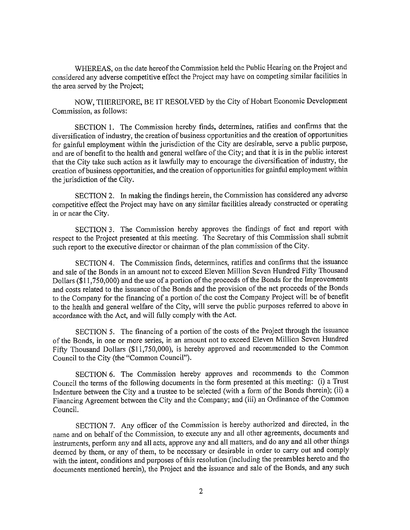WHEREAS, on the date hereof the Commission held the Public Hearing on the Project and considered any adverse competitive effect the Project may have on competing similar facilities in the area served by the Project;

NOW, THEREFORE, BE IT RESOLVED by the City of Hobart Economic Development Commission, as follows:

SECTION 1. The Commission hereby finds, determines, ratifies and confirms that the diversification of industry, the creation of business opportunities and the creation of opportunities for gainful employment within the jurisdiction of the City are desirable, serve a public purpose, and are of benefit to the health and general welfare of the City; and that it is in the public interest that the City take such action as it lawfully may to encourage the diversification of industry, the creation of business opportunities, and the creation of opportunities for gainful employment within the jurisdiction of the City.

SECTION 2. In making the findings herein, the Commission has considered any adverse competitive effect the Project may have on any similar facilities already constructed or operating in or near the City.

SECTION 3. The Commission hereby approves the findings of fact and report with respect to the Project presented at this meeting. The Secretary of this Commission shall submit such report to the executive director or chairman of the plan commission of the City.

SECTION 4. The Commission finds, determines, ratifies and confirms that the issuance and sale of the Bonds in an amount not to exceed Eleven Million Seven Hundred Fifty Thousand Dollars (\$11,750,000) and the use of a portion of the proceeds of the Bonds for the Improvements and costs related to the issuance of the Bonds and the provision of the net proceeds of the Bonds to the Company for the financing of a portion of the cost the Company Project will be of benefit to the health and general welfare of the City, will serve the public purposes referred to above in accordance with the Act, and will fully comply with the Act.

SECTION 5. The financing of a portion of the costs of the Project through the issuance of the Bonds, in one or more series, in an amount not to exceed Eleven Million Seven Hundred Fifty Thousand Dollars (\$11,750,000), is hereby approved and recommended to the Common Council to the City (the "Common Council").

SECTION 6. The Commission hereby approves and recommends to the Common Council the terms of the following documents in the form presented at this meeting: (i) a Trust Indenture between the City and a trustee to be selected (with a form of the Bonds therein); (ii) a Financing Agreement between the City and the Company; and (iii) an Ordinance of the Common Council.

SECTION 7. Any officer of the Commission is hereby authorized and directed, in the name and on behalf of the Commission, to execute any and all other agreements, documents and instruments, perform any and all acts, approve any and all matters, and do any and all other things deemed by them, or any of them, to be necessary or desirable in order to carry out and comply with the intent, conditions and purposes of this resolution (including the preambles hereto and the documents mentioned herein), the Project and the issuance and sale of the Bonds, and any such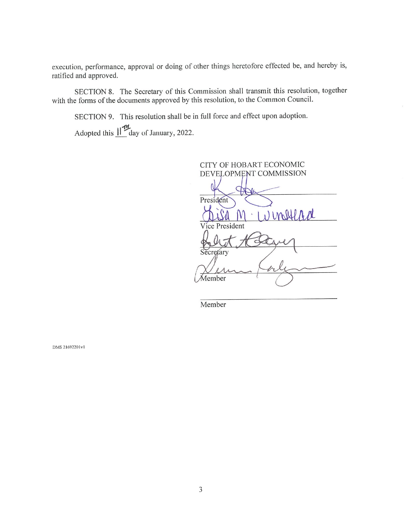execution, performance, approval or doing of other things heretofore effected be, and hereby is, ratified and approved.

SECTION 8. The Secretary of this Commission shall transmit this resolution, together with the forms of the documents approved by this resolution, to the Common Council.

SECTION 9. This resolution shall be in full force and effect upon adoption.

Adopted this  $\mathbf{H}^{\mathbf{d}}$  day of January, 2022.

CITY OF HOBART ECONOMIC DEVELOPMENT COMMISSION Œ President inflad Vice President Member

Member

DMS 21692201v1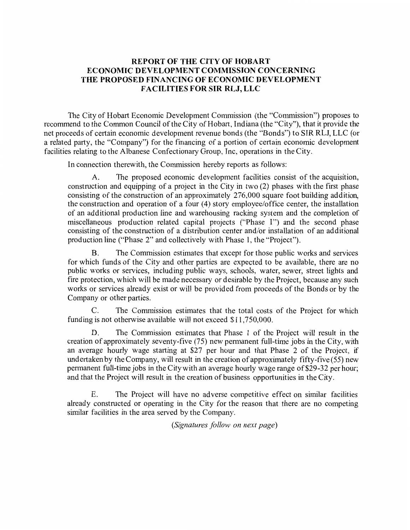## **REPORT OF THE CITY OF HOBART ECONOMIC DEVELOPMENT COMMISSION CONCERNING THE PROPOSED FINANCING OF ECONOMIC DEVELOPMENT FACILITIES FOR SIR RLJ, LLC**

The City of Hobart Economic Development Commission (the "Commission") proposes to recommend to the Common Council of the City of Hobart, Indiana (the "City"), that it provide the net proceeds of certain economic development revenue bonds (the "Bonds") to SIR RLJ, LLC (or a related party, the "Company") for the financing of a portion of certain economic development facilities relating to the Albanese Confectionary Group, Inc, operations in the City.

In connection therewith, the Commission hereby reports as follows:

A. The proposed economic development facilities consist of the acquisition, construction and equipping of a project in the City in two (2) phases with the first phase consisting of the construction of an approximately 276,000 square foot building addition, the construction and operation of a four (4) story employee/office center, the installation of an additional production line and warehousing racking system and the completion of miscellaneous production related capital projects ("Phase I") and the second phase consisting of the construction of a distribution center and/or installation of an additional production line ("Phase 2" and collectively with Phase 1, the "Project").

B. The Commission estimates that except for those public works and services for which funds of the City and other parties are expected to be available, there are no public works or services, including public ways, schools, water, sewer, street lights and fire protection, which will be made necessary or desirable by the Project, because any such works or services already exist or will be provided from proceeds of the Bonds or by the Company or other parties.

C. The Commission estimates that the total costs of the Project for which funding is not otherwise available will not exceed \$11,750,000.

D. The Commission estimates that Phase 1 of the Project will result in the creation of approximately seventy-five (75) new permanent full-time jobs in the City, with an average hourly wage starting at \$27 per hour and that Phase 2 of the Project, if undertaken by the Company, will result in the creation of approximately fifty-five (55) new permanent full-time jobs in the City with an average hourly wage range of\$29-32 per hour; and that the Project will result in the creation of business opportunities in the City.

E. The Project will have no adverse competitive effect on similar facilities already constructed or operating in the City for the reason that there are no competing similar facilities in the area served by the Company.

*(Signatures follow on next page)*